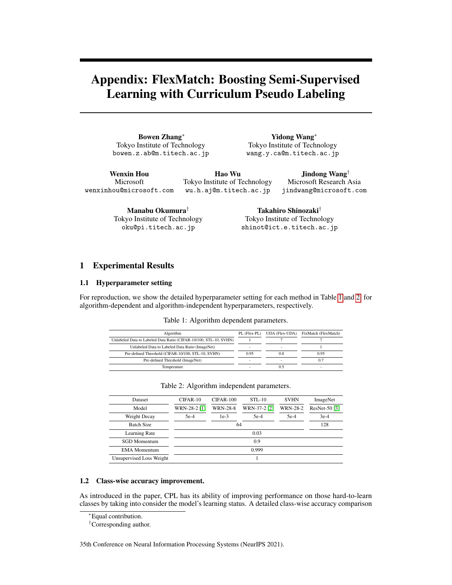# Appendix: FlexMatch: Boosting Semi-Supervised Learning with Curriculum Pseudo Labeling

Bowen Zhang<sup>∗</sup> Tokyo Institute of Technology bowen.z.ab@m.titech.ac.jp

Yidong Wang<sup>∗</sup> Tokyo Institute of Technology wang.y.ca@m.titech.ac.jp

Wenxin Hou Microsoft wenxinhou@microsoft.com

Hao Wu Tokyo Institute of Technology wu.h.aj@m.titech.ac.jp

Jindong Wang† Microsoft Research Asia jindwang@microsoft.com

Manabu Okumura† Tokyo Institute of Technology oku@pi.titech.ac.jp

Takahiro Shinozaki† Tokyo Institute of Technology shinot@ict.e.titech.ac.jp

## 1 Experimental Results

#### 1.1 Hyperparameter setting

<span id="page-0-0"></span>For reproduction, we show the detailed hyperparameter setting for each method in Table [1](#page-0-0) and [2,](#page-0-1) for algorithm-dependent and algorithm-independent hyperparameters, respectively.

Table 1: Algorithm dependent parameters.

| Algorithm                                                         | PL (Flex-PL) | UDA (Flex-UDA) | FixMatch (FlexMatch) |
|-------------------------------------------------------------------|--------------|----------------|----------------------|
| Unlabeled Data to Labeled Data Ratio (CIFAR-10/100, STL-10, SVHN) |              |                |                      |
| Unlabeled Data to Labeled Data Ratio (ImageNet)                   | -            | -              |                      |
| Pre-defined Threshold (CIFAR-10/100, STL-10, SVHN)                | 0.95         | 0.8            | 0.95                 |
| Pre-defined Threshold (ImageNet)                                  | -            | -              | 0.7                  |
| Temperature                                                       |              |                | -                    |

<span id="page-0-1"></span>

| Dataset                  | $CIFAR-10$   | $CIFAR-100$     | <b>STL-10</b> | <b>SVHN</b>     | ImageNet      |  |  |
|--------------------------|--------------|-----------------|---------------|-----------------|---------------|--|--|
| Model                    | WRN-28-2 [1] | <b>WRN-28-8</b> | WRN-37-2 [2]  | <b>WRN-28-2</b> | ResNet-50 [3] |  |  |
| Weight Decay             | $5e-4$       | $1e-3$          | $5e-4$        | $5e-4$          | $3e-4$        |  |  |
| <b>Batch Size</b>        |              | 128             |               |                 |               |  |  |
| Learning Rate            |              |                 |               |                 |               |  |  |
| <b>SGD</b> Momentum      | 0.9          |                 |               |                 |               |  |  |
| <b>EMA</b> Momentum      | 0.999        |                 |               |                 |               |  |  |
| Unsupervised Loss Weight |              |                 |               |                 |               |  |  |

Table 2: Algorithm independent parameters.

#### 1.2 Class-wise accuracy improvement.

As introduced in the paper, CPL has its ability of improving performance on those hard-to-learn classes by taking into consider the model's learning status. A detailed class-wise accuracy comparison

†Corresponding author.

35th Conference on Neural Information Processing Systems (NeurIPS 2021).

<sup>∗</sup>Equal contribution.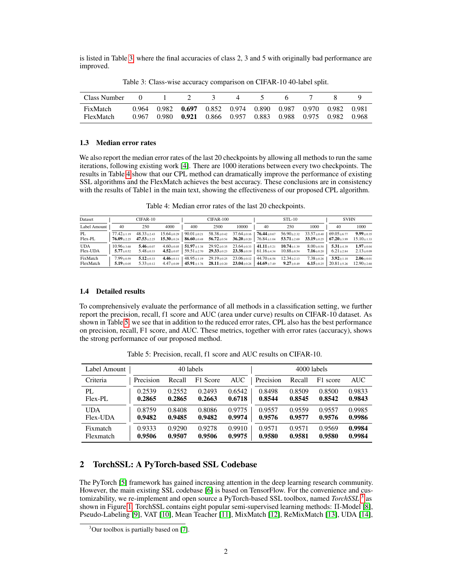is listed in Table [3,](#page-1-0) where the final accuracies of class 2, 3 and 5 with originally bad performance are improved.

<span id="page-1-0"></span>

| Class Number          |                |                                                    |  |                                        |                |                |
|-----------------------|----------------|----------------------------------------------------|--|----------------------------------------|----------------|----------------|
| FixMatch<br>FlexMatch | 0.964<br>0.967 | 0.982 0.697 0.852 0.974<br>0.980 0.921 0.866 0.957 |  | 0.890 0.987 0.970<br>0.883 0.988 0.975 | 0.982<br>0.982 | 0.981<br>0.968 |

Table 3: Class-wise accuracy comparison on CIFAR-10 40-label split.

#### 1.3 Median error rates

We also report the median error rates of the last 20 checkpoints by allowing all methods to run the same iterations, following existing work [\[4\]](#page-3-3). There are 1000 iterations between every two checkpoints. The results in Table [4](#page-1-1) show that our CPL method can dramatically improve the performance of existing SSL algorithms and the FlexMatch achieves the best accuracy. These conclusions are in consistency with the results of Table1 in the main text, showing the effectiveness of our proposed CPL algorithm.

Table 4: Median error rates of the last 20 checkpoints.

<span id="page-1-1"></span>

| Dataset                |                                      | $CIFAR-10$                         |                                                                                                                                                                              |                   | $CIFAR-100$                                                                                                                                                                                                       |       |    | $STL-10$ |                                                  | <b>SVHN</b>                                         |                                     |
|------------------------|--------------------------------------|------------------------------------|------------------------------------------------------------------------------------------------------------------------------------------------------------------------------|-------------------|-------------------------------------------------------------------------------------------------------------------------------------------------------------------------------------------------------------------|-------|----|----------|--------------------------------------------------|-----------------------------------------------------|-------------------------------------|
| Label Amount           | 40                                   | 250                                | 4000                                                                                                                                                                         | 400               | 2500                                                                                                                                                                                                              | 10000 | 40 | 250      | 1000                                             | 40                                                  | 1000                                |
| PL<br>Flex-PL          | $77.42 \pm 1.19$<br>$76.09 \pm 2.25$ | $48.33 \pm 2.43$                   | $15.64 \pm 0.29$<br>$47.53 \pm 2.25$ $15.30 \pm 0.24$ $86.60 \pm 0.48$ $56.72 \pm 0.54$ $36.20 \pm 0.20$ $76.84 \pm 1.04$ $53.71 \pm 2.69$ $33.19 \pm 0.25$ 67.20 $\pm 3.99$ |                   | $90.01\pm0.21$ $58.38\pm0.42$ $37.64\pm0.16$ $76.44\pm0.67$ $56.90\pm2.32$ $33.57\pm0.40$ $69.05\pm6.77$                                                                                                          |       |    |          |                                                  |                                                     | $9.99 + 0.35$<br>$15.10 \pm 1.33$   |
| <b>UDA</b><br>Flex-UDA | $10.96 \pm 3.68$<br>$5.77 \pm 0.52$  | $5.46 \pm 0.07$<br>$5.48 \pm 0.33$ |                                                                                                                                                                              |                   | $4.60\pm 0.05$   51.97 $\pm$ 1.38 29.92 $\pm$ 0.35 23.64 $\pm$ 0.33   41.11 $\pm$ 5.21 10.74 $\pm$ 1.39<br>$4.52\pm0.07$   59.51 $\pm$ 2.70 29.33 $\pm$ 0.23 23.38 $\pm$ 0.19   61.16 $\pm$ 4.34 10.88 $\pm$ 0.54 |       |    |          | $8.00 \pm 0.58$<br>$7.16 \scriptstyle{\pm 0.20}$ | $5.31 + 4.39$<br>$6.21 \pm 2.84$                    | $1.97 + 0.04$<br>$2.13 \pm 0.09$    |
| FixMatch<br>FlexMatch  | $7.99 \pm 0.59$<br>$5.19 \pm 0.05$   | $5.12 \pm 0.33$<br>$5.33 \pm 0.12$ | 4.46 $\pm$ 0.11                                                                                                                                                              | $148.95 \pm 1.19$ | $29.19 \pm 0.25$ $23.06 \pm 0.12$ $44.70 \pm 6.58$ $12.34 \pm 2.13$<br>$4.47\pm0.09$ $45.91\pm1.76$ $28.11\pm0.20$ $23.04\pm0.28$ $44.69\pm7.49$ $9.27\pm0.49$                                                    |       |    |          | $7.38 \pm 0.26$                                  | $3.92 \pm 1.18$<br>$6.15 \pm 0.25$ 20.81 $\pm$ 5.26 | $2.06 \pm 0.01$<br>$12.90 \pm 2.68$ |

#### 1.4 Detailed results

To comprehensively evaluate the performance of all methods in a classification setting, we further report the precision, recall, f1 score and AUC (area under curve) results on CIFAR-10 dataset. As shown in Table [5,](#page-1-2) we see that in addition to the reduced error rates, CPL also has the best performance on precision, recall, F1 score, and AUC. These metrics, together with error rates (accuracy), shows the strong performance of our proposed method.

<span id="page-1-2"></span>

| Label Amount | 40 labels |        |          |            | 4000 labels |        |          |        |
|--------------|-----------|--------|----------|------------|-------------|--------|----------|--------|
| Criteria     | Precision | Recall | F1 Score | <b>AUC</b> | Precision   | Recall | F1 score | AUC    |
| PL.          | 0.2539    | 0.2552 | 0.2493   | 0.6542     | 0.8498      | 0.8509 | 0.8500   | 0.9833 |
| Flex-PL      | 0.2865    | 0.2865 | 0.2663   | 0.6718     | 0.8544      | 0.8545 | 0.8542   | 0.9843 |
| <b>UDA</b>   | 0.8759    | 0.8408 | 0.8086   | 0.9775     | 0.9557      | 0.9559 | 0.9557   | 0.9985 |
| Flex-UDA     | 0.9482    | 0.9485 | 0.9482   | 0.9974     | 0.9576      | 0.9577 | 0.9576   | 0.9986 |
| Fixmatch     | 0.9333    | 0.9290 | 0.9278   | 0.9910     | 0.9571      | 0.9571 | 0.9569   | 0.9984 |
| Flexmatch    | 0.9506    | 0.9507 | 0.9506   | 0.9975     | 0.9580      | 0.9581 | 0.9580   | 0.9984 |

Table 5: Precision, recall, f1 score and AUC results on CIFAR-10.

# 2 TorchSSL: A PyTorch-based SSL Codebase

The PyTorch [\[5\]](#page-3-4) framework has gained increasing attention in the deep learning research community. However, the main existing SSL codebase [\[6\]](#page-3-5) is based on TensorFlow. For the convenience and customizability, we re-implement and open source a PyTorch-based SSL toolbox, named *TorchSSL* [3](#page-1-3) as shown in Figure [1.](#page-2-0) TorchSSL contains eight popular semi-supervised learning methods: Π-Model [\[8\]](#page-4-0), Pseudo-Labeling [\[9\]](#page-4-1), VAT [\[10\]](#page-4-2), Mean Teacher [\[11\]](#page-4-3), MixMatch [\[12\]](#page-4-4), ReMixMatch [\[13\]](#page-4-5), UDA [\[14\]](#page-4-6),

<span id="page-1-3"></span> $3$ Our toolbox is partially based on [\[7\]](#page-4-7).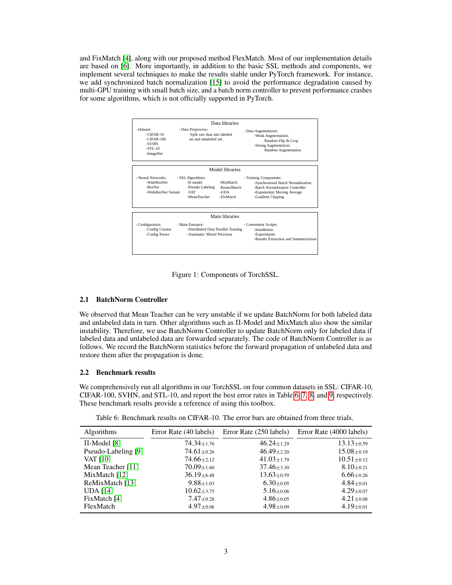and FixMatch [\[4\]](#page-3-3), along with our proposed method FlexMatch. Most of our implementation details are based on [\[6\]](#page-3-5). More importantly, in addition to the basic SSL methods and components, we implement several techniques to make the results stable under PyTorch framework. For instance, we add synchronized batch normalization [\[15\]](#page-4-8) to avoid the performance degradation caused by multi-GPU training with small batch size, and a batch norm controller to prevent performance crashes for some algorithms, which is not officially supported in PyTorch.



<span id="page-2-0"></span>Figure 1: Components of TorchSSL.

#### 2.1 BatchNorm Controller

We observed that Mean Teacher can be very unstable if we update BatchNorm for both labeled data and unlabeled data in turn. Other algorithms such as Π-Model and MixMatch also show the similar instability. Therefore, we use BatchNorm Controller to update BatchNorm only for labeled data if labeled data and unlabeled data are forwarded separately. The code of BatchNorm Controller is as follows. We record the BatchNorm statistics before the forward propagation of unlabeled data and restore them after the propagation is done.

#### 2.2 Benchmark results

We comprehensively run all algorithms in our TorchSSL on four common datasets in SSL: CIFAR-10, CIFAR-100, SVHN, and STL-10, and report the best error rates in Table [6,](#page-2-1) [7,](#page-3-6) [8,](#page-3-7) and [9,](#page-3-8) respectively. These benchmark results provide a reference of using this toolbox.

Table 6: Benchmark results on CIFAR-10. The error bars are obtained from three trials.

<span id="page-2-1"></span>

| <b>Algorithms</b>   | Error Rate (40 labels) | Error Rate (250 labels) | Error Rate (4000 labels) |
|---------------------|------------------------|-------------------------|--------------------------|
| $\Pi$ -Model [8]    | $74.34 \pm 1.76$       | $46.24 \pm 1.29$        | $13.13 \pm 0.59$         |
| Pseudo-Labeling [9] | $74.61 \pm 0.26$       | $46.49 \pm 2.20$        | $15.08 \pm 0.19$         |
| <b>VAT</b> [10]     | $74.66 \pm 2.12$       | $41.03 \pm 1.79$        | $10.51 \pm 0.12$         |
| Mean Teacher [11]   | $70.09 \pm 1.60$       | $37.46 \pm 3.30$        | $8.10 \pm 0.21$          |
| MixMatch [12]       | $36.19 \pm 6.48$       | $13.63 \pm 0.59$        | $6.66 \pm 0.26$          |
| ReMixMatch [13]     | $9.88 \pm 1.03$        | $6.30 \pm 0.05$         | $4.84 \pm 0.01$          |
| <b>UDA</b> [14]     | $10.62 \pm 3.75$       | $5.16 \pm 0.06$         | $4.29 \pm 0.07$          |
| FixMatch [4]        | $7.47 \pm 0.28$        | $4.86 \pm 0.05$         | $4.21 \pm 0.08$          |
| FlexMatch           | $4.97 \pm 0.06$        | $4.98 \pm 0.09$         | $4.19 \pm 0.01$          |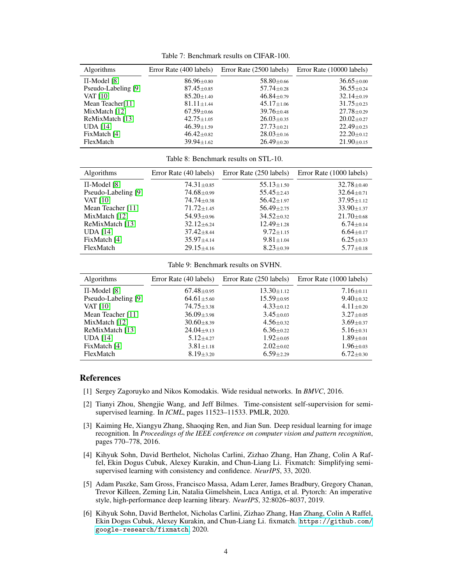Table 7: Benchmark results on CIFAR-100.

<span id="page-3-6"></span>

| <b>Algorithms</b>            | Error Rate (400 labels) | Error Rate (2500 labels) | Error Rate (10000 labels) |
|------------------------------|-------------------------|--------------------------|---------------------------|
| $\Pi$ -Model [8]             | $86.96 \pm 0.80$        | $58.80 \pm 0.66$         | $36.65 \pm 0.00$          |
| Pseudo-Labeling [9]          | $87.45 \pm 0.85$        | $57.74 \pm 0.28$         | $36.55 \pm 0.24$          |
| <b>VAT</b> [10]              | $85.20 \pm 1.40$        | $46.84 \pm 0.79$         | $32.14 \pm 0.19$          |
| Mean Teacher <sup>[11]</sup> | $81.11 \pm 1.44$        | $45.17 \pm 1.06$         | $31.75 \pm 0.23$          |
| MixMatch [12]                | $67.59 \pm 0.66$        | $39.76 \pm 0.48$         | $27.78 \pm 0.29$          |
| ReMixMatch [13]              | $42.75 \pm 1.05$        | $26.03 \pm 0.35$         | $20.02 \pm 0.27$          |
| <b>UDA</b> [14]              | $46.39 \pm 1.59$        | $27.73 \pm 0.21$         | $22.49 \pm 0.23$          |
| FixMatch [4]                 | $46.42 \pm 0.82$        | $28.03 \pm 0.16$         | $22.20 \pm 0.12$          |
| FlexMatch                    | $39.94 \pm 1.62$        | $26.49 \pm 0.20$         | $21.90 \pm 0.15$          |

Table 8: Benchmark results on STL-10.

<span id="page-3-7"></span>

| <b>Algorithms</b>   | Error Rate (40 labels)        | Error Rate (250 labels) | Error Rate (1000 labels) |
|---------------------|-------------------------------|-------------------------|--------------------------|
| $\Pi$ -Model [8]    | $74.31 \pm 0.85$              | $55.13 \pm 1.50$        | $32.78 \pm 0.40$         |
| Pseudo-Labeling [9] | $74.68 \pm 0.99$              | $55.45 \pm 2.43$        | $32.64 \pm 0.71$         |
| <b>VAT</b> [10]     | $74.74 \pm 0.38$              | $56.42 \pm 1.97$        | $37.95 \pm 1.12$         |
| Mean Teacher [11]   | $71.72 \pm 1.45$              | $56.49 \pm 2.75$        | $33.90 \pm 1.37$         |
| MixMatch [12]       | $54.93 \pm 0.96$              | $34.52 \pm 0.32$        | $21.70 \pm 0.68$         |
| ReMixMatch [13]     | $32.12 \pm 6.24$              | $12.49 \pm 1.28$        | $6.74 \pm 0.14$          |
| <b>UDA</b> [14]     | $37.42 \pm 8.44$              | $9.72 \pm 1.15$         | $6.64 \pm 0.17$          |
| FixMatch [4]        | $35.97{\scriptstyle \pm4.14}$ | $9.81 \pm 1.04$         | $6.25 \pm 0.33$          |
| FlexMatch           | $29.15 \pm 4.16$              | $8.23 \pm 0.39$         | $5.77 \pm 0.18$          |

Table 9: Benchmark results on SVHN.

<span id="page-3-8"></span>

| <b>Algorithms</b>   | Error Rate (40 labels) | Error Rate (250 labels) | Error Rate (1000 labels) |
|---------------------|------------------------|-------------------------|--------------------------|
| $\Pi$ -Model [8]    | $67.48 \pm 0.95$       | $13.30 \pm 1.12$        | $7.16 \pm 0.11$          |
| Pseudo-Labeling [9] | $64.61 \pm 5.60$       | $15.59 \pm 0.95$        | $9.40 \pm 0.32$          |
| <b>VAT</b> [10]     | $74.75 \pm 3.38$       | $4.33 \pm 0.12$         | $4.11 \pm 0.20$          |
| Mean Teacher [11]   | $36.09 \pm 3.98$       | $3.45 \pm 0.03$         | $3.27 \pm 0.05$          |
| MixMatch [12]       | $30.60 \pm 8.39$       | $4.56 \pm 0.32$         | $3.69 \pm 0.37$          |
| ReMixMatch [13]     | $24.04 \pm 9.13$       | $6.36 \pm 0.22$         | $5.16 \pm 0.31$          |
| <b>UDA</b> [14]     | $5.12 \pm 4.27$        | $1.92 \pm 0.05$         | $1.89 \pm 0.01$          |
| FixMatch [4]        | $3.81 \pm 1.18$        | $2.02 \pm 0.02$         | $1.96 \pm 0.03$          |
| FlexMatch           | $8.19 \pm 3.20$        | $6.59 \pm 2.29$         | $6.72 \pm 0.30$          |

## References

- <span id="page-3-0"></span>[1] Sergey Zagoruyko and Nikos Komodakis. Wide residual networks. In *BMVC*, 2016.
- <span id="page-3-1"></span>[2] Tianyi Zhou, Shengjie Wang, and Jeff Bilmes. Time-consistent self-supervision for semisupervised learning. In *ICML*, pages 11523–11533. PMLR, 2020.
- <span id="page-3-2"></span>[3] Kaiming He, Xiangyu Zhang, Shaoqing Ren, and Jian Sun. Deep residual learning for image recognition. In *Proceedings of the IEEE conference on computer vision and pattern recognition*, pages 770–778, 2016.
- <span id="page-3-3"></span>[4] Kihyuk Sohn, David Berthelot, Nicholas Carlini, Zizhao Zhang, Han Zhang, Colin A Raffel, Ekin Dogus Cubuk, Alexey Kurakin, and Chun-Liang Li. Fixmatch: Simplifying semisupervised learning with consistency and confidence. *NeurIPS*, 33, 2020.
- <span id="page-3-4"></span>[5] Adam Paszke, Sam Gross, Francisco Massa, Adam Lerer, James Bradbury, Gregory Chanan, Trevor Killeen, Zeming Lin, Natalia Gimelshein, Luca Antiga, et al. Pytorch: An imperative style, high-performance deep learning library. *NeurIPS*, 32:8026–8037, 2019.
- <span id="page-3-5"></span>[6] Kihyuk Sohn, David Berthelot, Nicholas Carlini, Zizhao Zhang, Han Zhang, Colin A Raffel, Ekin Dogus Cubuk, Alexey Kurakin, and Chun-Liang Li. fixmatch. [https://github.com/](https://github.com/google-research/fixmatch) [google-research/fixmatch](https://github.com/google-research/fixmatch), 2020.